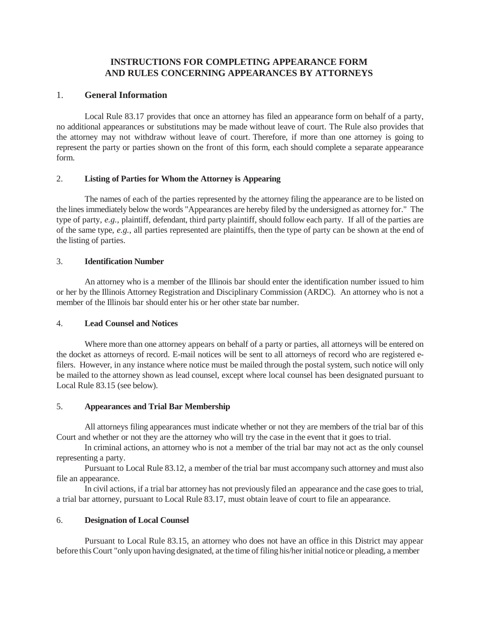# **INSTRUCTIONS FOR COMPLETING APPEARANCE FORM AND RULES CONCERNING APPEARANCES BY ATTORNEYS**

# 1. **General Information**

Local Rule 83.17 provides that once an attorney has filed an appearance form on behalf of a party, no additional appearances or substitutions may be made without leave of court. The Rule also provides that the attorney may not withdraw without leave of court. Therefore, if more than one attorney is going to represent the party or parties shown on the front of this form, each should complete a separate appearance form.

## 2. **Listing of Parties for Whom the Attorney is Appearing**

The names of each of the parties represented by the attorney filing the appearance are to be listed on the lines immediately below the words "Appearances are hereby filed by the undersigned as attorney for." The type of party, *e.g.,* plaintiff, defendant, third party plaintiff, should follow each party. If all of the parties are of the same type, *e.g.*, all parties represented are plaintiffs, then the type of party can be shown at the end of the listing of parties.

#### 3. **Identification Number**

An attorney who is a member of the Illinois bar should enter the identification number issued to him or her by the Illinois Attorney Registration and Disciplinary Commission (ARDC). An attorney who is not a member of the Illinois bar should enter his or her other state bar number.

#### 4. **Lead Counsel and Notices**

Where more than one attorney appears on behalf of a party or parties, all attorneys will be entered on the docket as attorneys of record. E-mail notices will be sent to all attorneys of record who are registered efilers. However, in any instance where notice must be mailed through the postal system, such notice will only be mailed to the attorney shown as lead counsel, except where local counsel has been designated pursuant to Local Rule 83.15 (see below).

#### 5. **Appearances and Trial Bar Membership**

All attorneys filing appearances must indicate whether or not they are members of the trial bar of this Court and whether or not they are the attorney who will try the case in the event that it goes to trial.

In criminal actions, an attorney who is not a member of the trial bar may not act as the only counsel representing a party.

Pursuant to Local Rule 83.12, a member of the trial bar must accompany such attorney and must also file an appearance.

In civil actions, if a trial bar attorney has not previously filed an appearance and the case goes to trial, a trial bar attorney, pursuant to Local Rule 83.17, must obtain leave of court to file an appearance.

#### 6. **Designation of Local Counsel**

Pursuant to Local Rule 83.15, an attorney who does not have an office in this District may appear before this Court "only upon having designated, at the time of filing his/her initial notice or pleading, a member